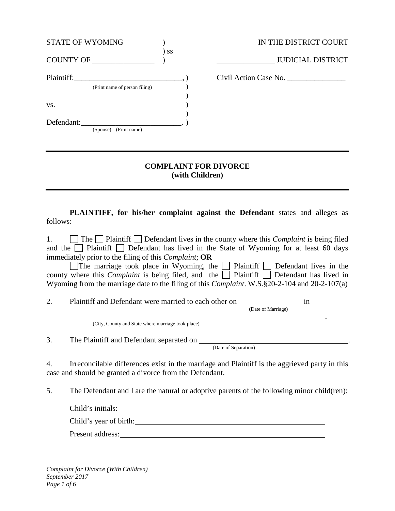| <b>STATE OF WYOMING</b>       |      | IN THE DISTRICT COURT    |
|-------------------------------|------|--------------------------|
| COUNTY OF                     | ) ss | <b>JUDICIAL DISTRICT</b> |
| Plaintiff:                    |      | Civil Action Case No.    |
| (Print name of person filing) |      |                          |
|                               |      |                          |
| VS.                           |      |                          |
|                               |      |                          |
| Defendant:                    |      |                          |
| (Print name)<br>(Spouse)      |      |                          |
|                               |      |                          |

## **COMPLAINT FOR DIVORCE (with Children)**

**PLAINTIFF, for his/her complaint against the Defendant** states and alleges as follows:

1. The Plaintiff Defendant lives in the county where this *Complaint* is being filed and the  $\Box$  Plaintiff  $\Box$  Defendant has lived in the State of Wyoming for at least 60 days immediately prior to the filing of this *Complaint*; **OR** 

The marriage took place in Wyoming, the  $\Box$  Plaintiff  $\Box$  Defendant lives in the county where this *Complaint* is being filed, and the  $\Box$  Plaintiff  $\Box$  Defendant has lived in Wyoming from the marriage date to the filing of this *Complaint*. W.S.§20-2-104 and 20-2-107(a)

2. Plaintiff and Defendant were married to each other on  $\frac{1}{(Date\ of\ Marriage)}$ .

(City, County and State where marriage took place)

3. The Plaintiff and Defendant separated on . (Date of Separation)

4. Irreconcilable differences exist in the marriage and Plaintiff is the aggrieved party in this case and should be granted a divorce from the Defendant.

5. The Defendant and I are the natural or adoptive parents of the following minor child(ren):

| Child's initials:      |  |
|------------------------|--|
| Child's year of birth: |  |

Present address: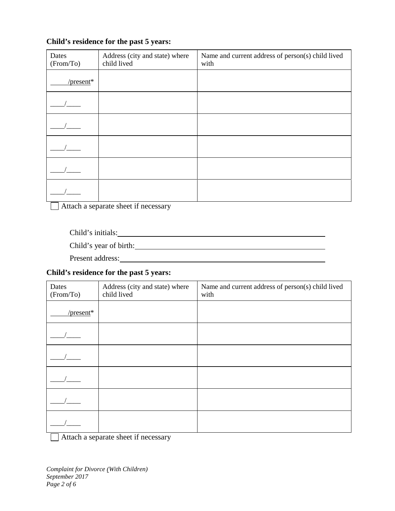## **Child's residence for the past 5 years:**

| Dates<br>(From/To) | Address (city and state) where<br>child lived | Name and current address of person(s) child lived<br>with |
|--------------------|-----------------------------------------------|-----------------------------------------------------------|
| / $present*$       |                                               |                                                           |
|                    |                                               |                                                           |
|                    |                                               |                                                           |
|                    |                                               |                                                           |
|                    |                                               |                                                           |
|                    |                                               |                                                           |

Attach a separate sheet if necessary

Child's initials:

Child's year of birth:

Present address: Note and the set of the set of the set of the set of the set of the set of the set of the set of the set of the set of the set of the set of the set of the set of the set of the set of the set of the set o

#### **Child's residence for the past 5 years:**

| Dates<br>(From/To) | Address (city and state) where<br>child lived | Name and current address of person(s) child lived<br>with |
|--------------------|-----------------------------------------------|-----------------------------------------------------------|
| / $present*$       |                                               |                                                           |
|                    |                                               |                                                           |
|                    |                                               |                                                           |
|                    |                                               |                                                           |
|                    |                                               |                                                           |
|                    |                                               |                                                           |

Attach a separate sheet if necessary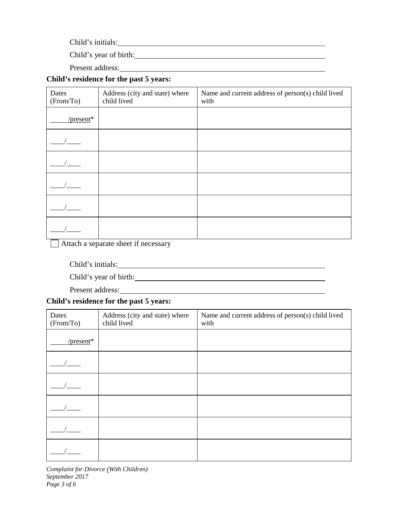Child's initials:

Child's year of birth:

Present address:

# **Child's residence for the past 5 years:**

| Dates<br>(From/To) | Address (city and state) where<br>child lived | Name and current address of person(s) child lived<br>with |
|--------------------|-----------------------------------------------|-----------------------------------------------------------|
| / $present*$       |                                               |                                                           |
|                    |                                               |                                                           |
|                    |                                               |                                                           |
|                    |                                               |                                                           |
|                    |                                               |                                                           |
|                    |                                               |                                                           |

Attach a separate sheet if necessary

Child's initials:

Child's year of birth:

Present address: Note and the set of the set of the set of the set of the set of the set of the set of the set of the set of the set of the set of the set of the set of the set of the set of the set of the set of the set o

## **Child's residence for the past 5 years:**

| Dates<br>(From/To) | Address (city and state) where<br>child lived | Name and current address of person(s) child lived<br>with |
|--------------------|-----------------------------------------------|-----------------------------------------------------------|
| / $present*$       |                                               |                                                           |
|                    |                                               |                                                           |
|                    |                                               |                                                           |
|                    |                                               |                                                           |
|                    |                                               |                                                           |
|                    |                                               |                                                           |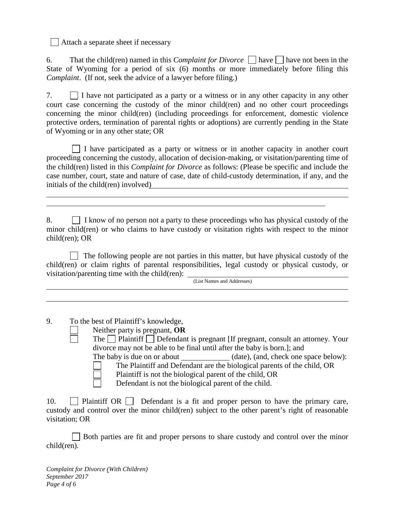$\Box$  Attach a separate sheet if necessary

6. That the child(ren) named in this *Complaint for Divorce*  $\Box$  have  $\Box$  have not been in the State of Wyoming for a period of six (6) months or more immediately before filing this *Complaint*. (If not, seek the advice of a lawyer before filing.)

7. I have not participated as a party or a witness or in any other capacity in any other court case concerning the custody of the minor child(ren) and no other court proceedings concerning the minor child(ren) (including proceedings for enforcement, domestic violence protective orders, termination of parental rights or adoptions) are currently pending in the State of Wyoming or in any other state; OR

 $\Box$  I have participated as a party or witness or in another capacity in another court proceeding concerning the custody, allocation of decision-making, or visitation/parenting time of the child(ren) listed in this *Complaint for Divorce* as follows: (Please be specific and include the case number, court, state and nature of case, date of child-custody determination, if any, and the initials of the child(ren) involved)

8.  $\Box$  I know of no person not a party to these proceedings who has physical custody of the minor child(ren) or who claims to have custody or visitation rights with respect to the minor child(ren); OR

 $\Box$  The following people are not parties in this matter, but have physical custody of the child(ren) or claim rights of parental responsibilities, legal custody or physical custody, or visitation/parenting time with the child(ren):  $\frac{1}{\text{(List Names and Addresses)}}$ 

9. To the best of Plaintiff's knowledge,

- Neither party is pregnant, **OR**
- The  $\Box$  Plaintiff  $\Box$  Defendant is pregnant [If pregnant, consult an attorney. Your divorce may not be able to be final until after the baby is born.]; and The baby is due on or about (date), (and, check one space below): The Plaintiff and Defendant are the biological parents of the child, OR
	- Plaintiff is not the biological parent of the child, OR

Defendant is not the biological parent of the child.

10.  $\Box$  Plaintiff OR  $\Box$  Defendant is a fit and proper person to have the primary care, custody and control over the minor child(ren) subject to the other parent's right of reasonable visitation; OR

Both parties are fit and proper persons to share custody and control over the minor child(ren).

*Complaint for Divorce (With Children) September 2017 Page 4 of 6*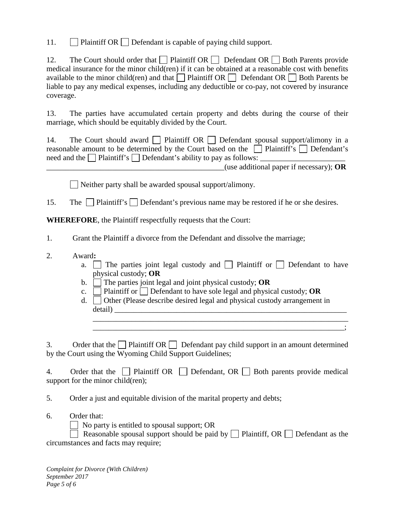11.  $\Box$  Plaintiff OR  $\Box$  Defendant is capable of paying child support.

12. The Court should order that Plaintiff OR Defendant OR Both Parents provide medical insurance for the minor child(ren) if it can be obtained at a reasonable cost with benefits available to the minor child(ren) and that  $\Box$  Plaintiff OR  $\Box$  Defendant OR  $\Box$  Both Parents be liable to pay any medical expenses, including any deductible or co-pay, not covered by insurance coverage.

13. The parties have accumulated certain property and debts during the course of their marriage, which should be equitably divided by the Court.

14. The Court should award  $\Box$  Plaintiff OR  $\Box$  Defendant spousal support/alimony in a reasonable amount to be determined by the Court based on the  $\Box$  Plaintiff's  $\Box$  Defendant's need and the  $\Box$  Plaintiff's  $\Box$  Defendant's ability to pay as follows:

\_\_\_\_\_\_\_\_\_\_\_\_\_\_\_\_\_\_\_\_\_\_\_\_\_\_\_\_\_\_\_\_\_\_\_\_\_\_\_\_\_\_\_\_\_\_(use additional paper if necessary); **OR**

 $\Box$  Neither party shall be awarded spousal support/alimony.

15. The  $\Box$  Plaintiff's  $\Box$  Defendant's previous name may be restored if he or she desires.

**WHEREFORE**, the Plaintiff respectfully requests that the Court:

1. Grant the Plaintiff a divorce from the Defendant and dissolve the marriage;

- 2. Award**:**
	- a.  $\Box$  The parties joint legal custody and  $\Box$  Plaintiff or  $\Box$  Defendant to have physical custody; **OR**

\_\_\_\_\_\_\_\_\_\_\_\_\_\_\_\_\_\_\_\_\_\_\_\_\_\_\_\_\_\_\_\_\_\_\_\_\_\_\_\_\_\_\_\_\_\_\_\_\_\_\_\_\_\_\_\_\_\_\_\_\_\_\_\_\_\_ \_\_\_\_\_\_\_\_\_\_\_\_\_\_\_\_\_\_\_\_\_\_\_\_\_\_\_\_\_\_\_\_\_\_\_\_\_\_\_\_\_\_\_\_\_\_\_\_\_\_\_\_\_\_\_\_\_\_\_\_\_\_\_\_\_;

- b.  $\Box$  The parties joint legal and joint physical custody; **OR**
- c.  $\Box$  Plaintiff or  $\Box$  Defendant to have sole legal and physical custody; **OR**
- d.  $\Box$  Other (Please describe desired legal and physical custody arrangement in detail)

3. Order that the Plaintiff OR Defendant pay child support in an amount determined by the Court using the Wyoming Child Support Guidelines;

4. Order that the **Plaintiff OR** Defendant, OR Both parents provide medical support for the minor child(ren);

5. Order a just and equitable division of the marital property and debts;

6. Order that:

No party is entitled to spousal support; OR

Reasonable spousal support should be paid by  $\Box$  Plaintiff, OR  $\Box$  Defendant as the circumstances and facts may require;

*Complaint for Divorce (With Children) September 2017 Page 5 of 6*